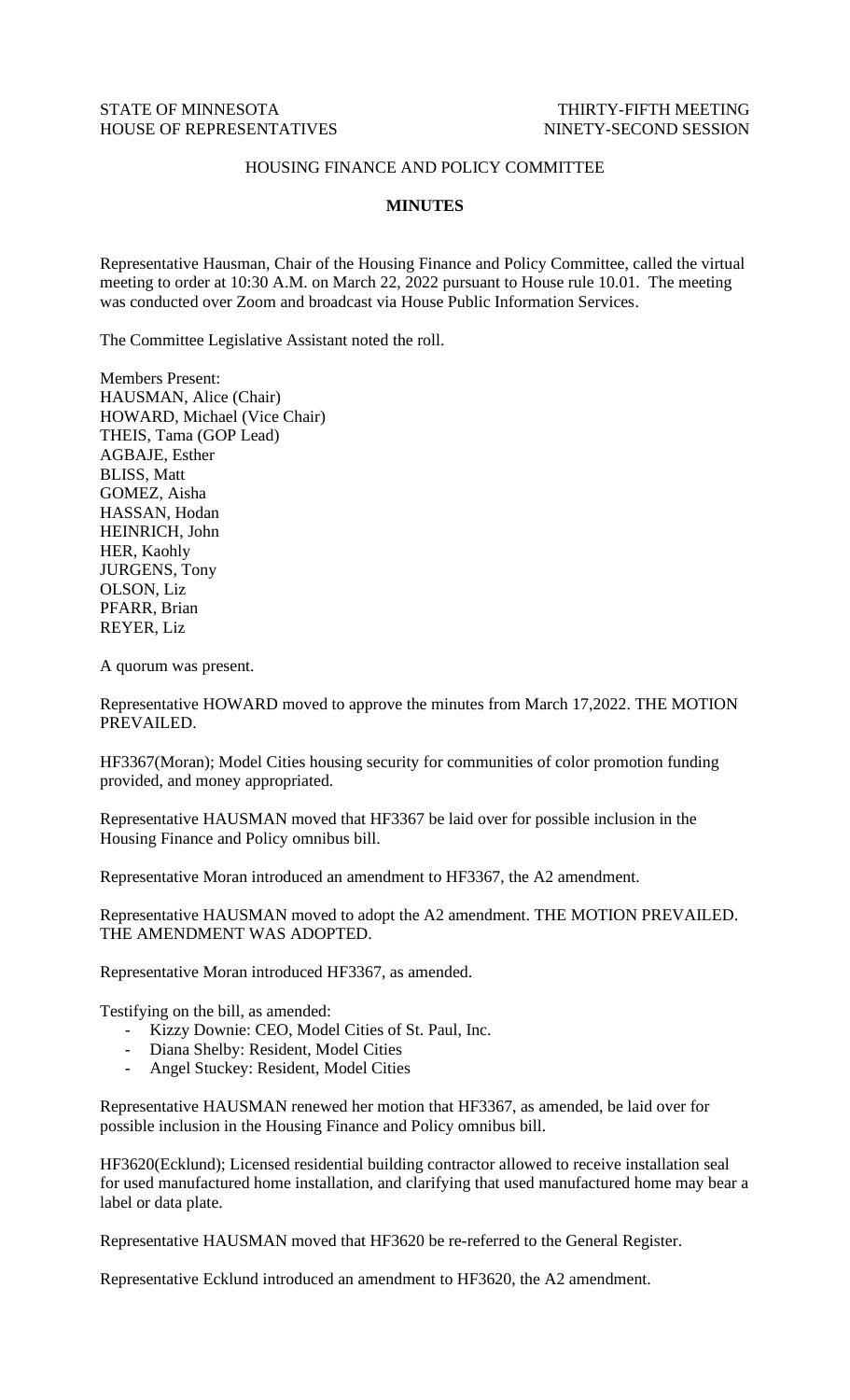## STATE OF MINNESOTA THIRTY-FIFTH MEETING HOUSE OF REPRESENTATIVES NINETY-SECOND SESSION

## HOUSING FINANCE AND POLICY COMMITTEE

## **MINUTES**

Representative Hausman, Chair of the Housing Finance and Policy Committee, called the virtual meeting to order at 10:30 A.M. on March 22, 2022 pursuant to House rule 10.01. The meeting was conducted over Zoom and broadcast via House Public Information Services.

The Committee Legislative Assistant noted the roll.

Members Present: HAUSMAN, Alice (Chair) HOWARD, Michael (Vice Chair) THEIS, Tama (GOP Lead) AGBAJE, Esther BLISS, Matt GOMEZ, Aisha HASSAN, Hodan HEINRICH, John HER, Kaohly JURGENS, Tony OLSON, Liz PFARR, Brian REYER, Liz

A quorum was present.

Representative HOWARD moved to approve the minutes from March 17,2022. THE MOTION PREVAILED.

HF3367(Moran); Model Cities housing security for communities of color promotion funding provided, and money appropriated.

Representative HAUSMAN moved that HF3367 be laid over for possible inclusion in the Housing Finance and Policy omnibus bill.

Representative Moran introduced an amendment to HF3367, the A2 amendment.

Representative HAUSMAN moved to adopt the A2 amendment. THE MOTION PREVAILED. THE AMENDMENT WAS ADOPTED.

Representative Moran introduced HF3367, as amended.

Testifying on the bill, as amended:

- Kizzy Downie: CEO, Model Cities of St. Paul, Inc.
- Diana Shelby: Resident, Model Cities
- Angel Stuckey: Resident, Model Cities

Representative HAUSMAN renewed her motion that HF3367, as amended, be laid over for possible inclusion in the Housing Finance and Policy omnibus bill.

HF3620(Ecklund); Licensed residential building contractor allowed to receive installation seal for used manufactured home installation, and clarifying that used manufactured home may bear a label or data plate.

Representative HAUSMAN moved that HF3620 be re-referred to the General Register.

Representative Ecklund introduced an amendment to HF3620, the A2 amendment.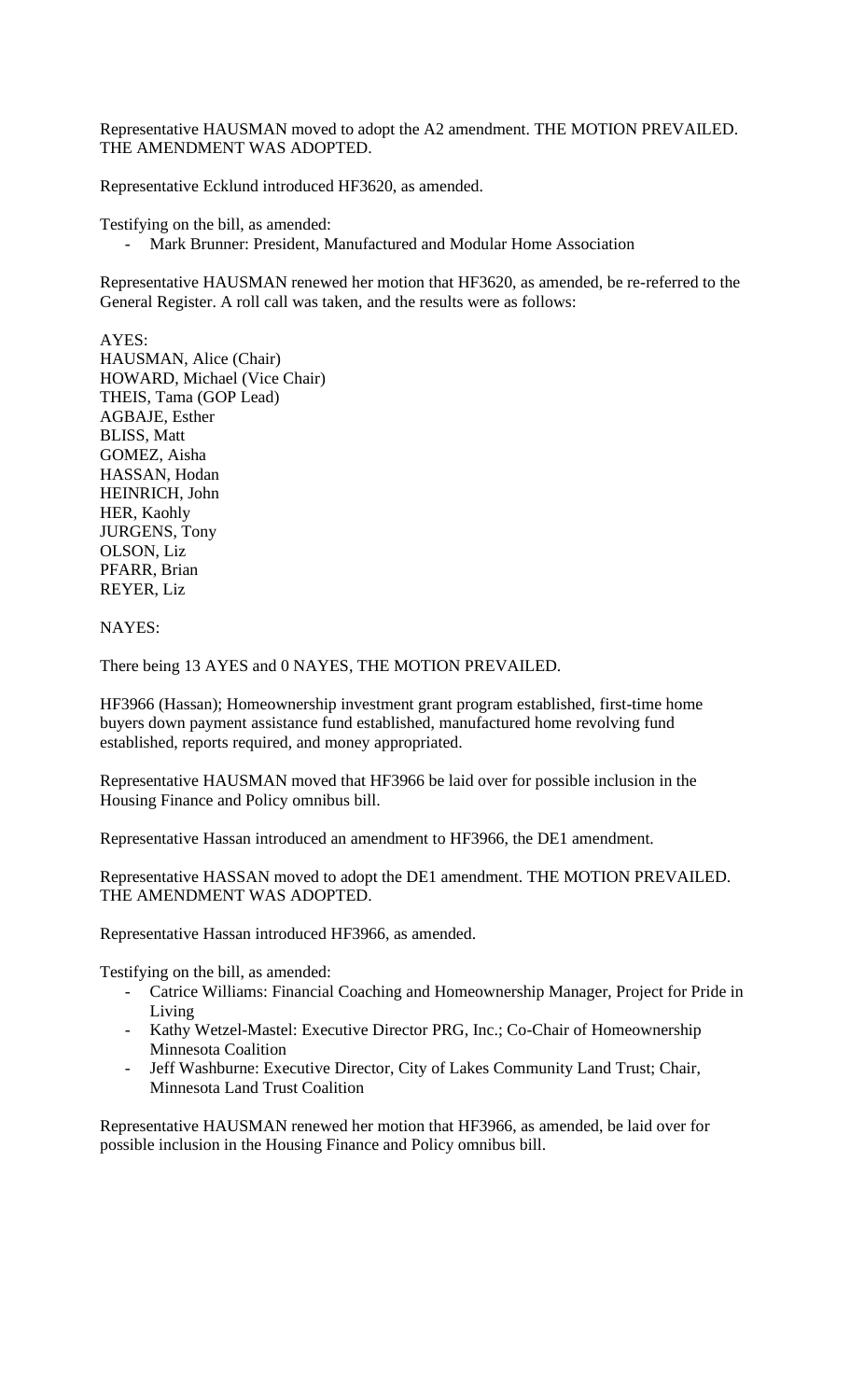Representative HAUSMAN moved to adopt the A2 amendment. THE MOTION PREVAILED. THE AMENDMENT WAS ADOPTED.

Representative Ecklund introduced HF3620, as amended.

Testifying on the bill, as amended:

- Mark Brunner: President, Manufactured and Modular Home Association

Representative HAUSMAN renewed her motion that HF3620, as amended, be re-referred to the General Register. A roll call was taken, and the results were as follows:

AYES: HAUSMAN, Alice (Chair) HOWARD, Michael (Vice Chair) THEIS, Tama (GOP Lead) AGBAJE, Esther BLISS, Matt GOMEZ, Aisha HASSAN, Hodan HEINRICH, John HER, Kaohly JURGENS, Tony OLSON, Liz PFARR, Brian REYER, Liz

NAYES:

There being 13 AYES and 0 NAYES, THE MOTION PREVAILED.

HF3966 (Hassan); Homeownership investment grant program established, first-time home buyers down payment assistance fund established, manufactured home revolving fund established, reports required, and money appropriated.

Representative HAUSMAN moved that HF3966 be laid over for possible inclusion in the Housing Finance and Policy omnibus bill.

Representative Hassan introduced an amendment to HF3966, the DE1 amendment.

Representative HASSAN moved to adopt the DE1 amendment. THE MOTION PREVAILED. THE AMENDMENT WAS ADOPTED.

Representative Hassan introduced HF3966, as amended.

Testifying on the bill, as amended:

- Catrice Williams: Financial Coaching and Homeownership Manager, Project for Pride in Living
- Kathy Wetzel-Mastel: Executive Director PRG, Inc.; Co-Chair of Homeownership Minnesota Coalition
- Jeff Washburne: Executive Director, City of Lakes Community Land Trust; Chair, Minnesota Land Trust Coalition

Representative HAUSMAN renewed her motion that HF3966, as amended, be laid over for possible inclusion in the Housing Finance and Policy omnibus bill.